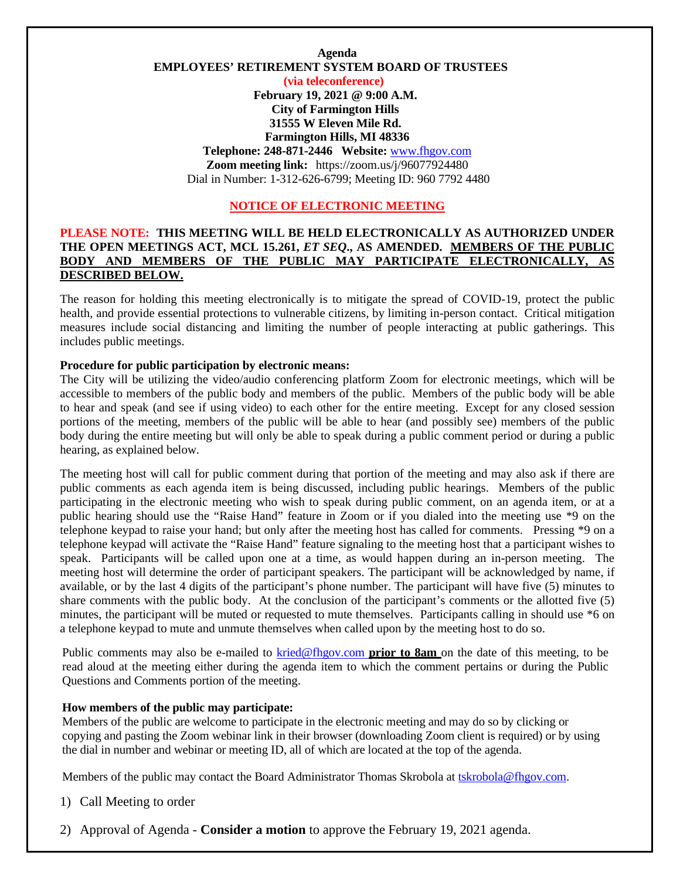## **Agenda EMPLOYEES' RETIREMENT SYSTEM BOARD OF TRUSTEES (via teleconference) February 19, 2021 @ 9:00 A.M. City of Farmington Hills 31555 W Eleven Mile Rd. Farmington Hills, MI 48336 Telephone: 248-871-2446 Website:** [www.fhgov.com](http://www.fhgov.com/) **Zoom meeting link:** https://zoom.us/j/96077924480 Dial in Number: 1-312-626-6799; Meeting ID: 960 7792 4480

## **NOTICE OF ELECTRONIC MEETING**

### **PLEASE NOTE: THIS MEETING WILL BE HELD ELECTRONICALLY AS AUTHORIZED UNDER THE OPEN MEETINGS ACT, MCL 15.261,** *ET SEQ***., AS AMENDED. MEMBERS OF THE PUBLIC BODY AND MEMBERS OF THE PUBLIC MAY PARTICIPATE ELECTRONICALLY, AS DESCRIBED BELOW.**

The reason for holding this meeting electronically is to mitigate the spread of COVID-19, protect the public health, and provide essential protections to vulnerable citizens, by limiting in-person contact. Critical mitigation measures include social distancing and limiting the number of people interacting at public gatherings. This includes public meetings.

### **Procedure for public participation by electronic means:**

The City will be utilizing the video/audio conferencing platform Zoom for electronic meetings, which will be accessible to members of the public body and members of the public. Members of the public body will be able to hear and speak (and see if using video) to each other for the entire meeting. Except for any closed session portions of the meeting, members of the public will be able to hear (and possibly see) members of the public body during the entire meeting but will only be able to speak during a public comment period or during a public hearing, as explained below.

The meeting host will call for public comment during that portion of the meeting and may also ask if there are public comments as each agenda item is being discussed, including public hearings. Members of the public participating in the electronic meeting who wish to speak during public comment, on an agenda item, or at a public hearing should use the "Raise Hand" feature in Zoom or if you dialed into the meeting use \*9 on the telephone keypad to raise your hand; but only after the meeting host has called for comments. Pressing \*9 on a telephone keypad will activate the "Raise Hand" feature signaling to the meeting host that a participant wishes to speak. Participants will be called upon one at a time, as would happen during an in-person meeting. The meeting host will determine the order of participant speakers. The participant will be acknowledged by name, if available, or by the last 4 digits of the participant's phone number. The participant will have five (5) minutes to share comments with the public body.At the conclusion of the participant's comments or the allotted five (5) minutes, the participant will be muted or requested to mute themselves. Participants calling in should use \*6 on a telephone keypad to mute and unmute themselves when called upon by the meeting host to do so.

Public comments may also be e-mailed to [kried@fhgov.com](mailto:kried@fhgov.com) **prior to 8am** on the date of this meeting, to be read aloud at the meeting either during the agenda item to which the comment pertains or during the Public Questions and Comments portion of the meeting.

#### **How members of the public may participate:**

Members of the public are welcome to participate in the electronic meeting and may do so by clicking or copying and pasting the Zoom webinar link in their browser (downloading Zoom client is required) or by using the dial in number and webinar or meeting ID, all of which are located at the top of the agenda.

Members of the public may contact the Board Administrator Thomas Skrobola at [tskrobola@fhgov.com.](mailto:tskrobola@fhgov.com)

1) Call Meeting to order

2) Approval of Agenda - **Consider a motion** to approve the February 19, 2021 agenda.